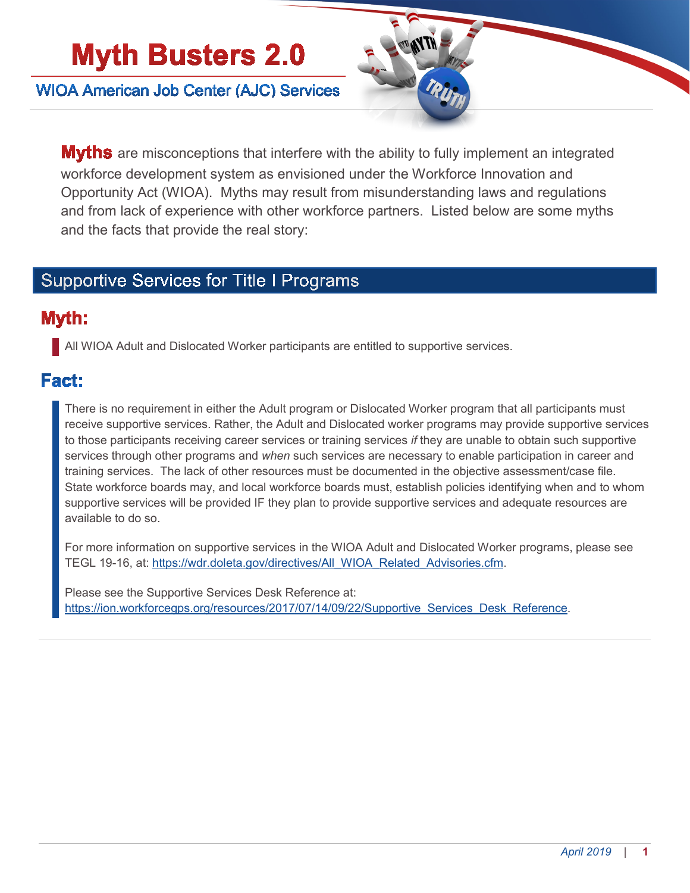# **Myth Busters 2.0**

**WIOA American Job Center (AJC) Services** 



**Myths** are misconceptions that interfere with the ability to fully implement an integrated workforce development system as envisioned under the Workforce Innovation and Opportunity Act (WIOA). Myths may result from misunderstanding laws and regulations and from lack of experience with other workforce partners. Listed below are some myths and the facts that provide the real story:

### **Supportive Services for Title I Programs**

#### Myth:

All WIOA Adult and Dislocated Worker participants are entitled to supportive services.

#### Fact:

There is no requirement in either the Adult program or Dislocated Worker program that all participants must receive supportive services. Rather, the Adult and Dislocated worker programs may provide supportive services to those participants receiving career services or training services *if* they are unable to obtain such supportive services through other programs and *when* such services are necessary to enable participation in career and training services. The lack of other resources must be documented in the objective assessment/case file. State workforce boards may, and local workforce boards must, establish policies identifying when and to whom supportive services will be provided IF they plan to provide supportive services and adequate resources are available to do so.

For more information on supportive services in the WIOA Adult and Dislocated Worker programs, please see TEGL 19-16, at: [https://wdr.doleta.gov/directives/All\\_WIOA\\_Related\\_Advisories.cfm.](https://wdr.doleta.gov/directives/All_WIOA_Related_Advisories.cfm)

Please see the Supportive Services Desk Reference at: [https://ion.workforcegps.org/resources/2017/07/14/09/22/Supportive\\_Services\\_Desk\\_Reference.](https://ion.workforcegps.org/resources/2017/07/14/09/22/Supportive_Services_Desk_Reference)